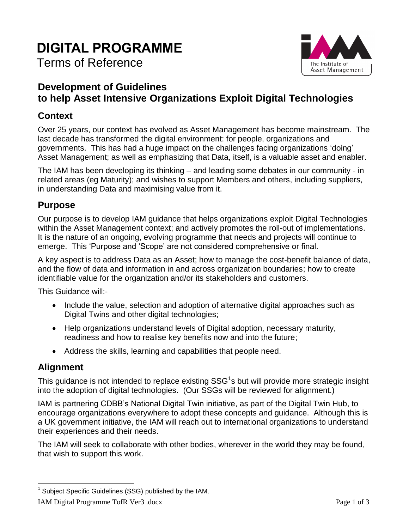# **DIGITAL PROGRAMME**

# Terms of Reference



## **Development of Guidelines to help Asset Intensive Organizations Exploit Digital Technologies**

#### **Context**

Over 25 years, our context has evolved as Asset Management has become mainstream. The last decade has transformed the digital environment: for people, organizations and governments. This has had a huge impact on the challenges facing organizations 'doing' Asset Management; as well as emphasizing that Data, itself, is a valuable asset and enabler.

The IAM has been developing its thinking – and leading some debates in our community - in related areas (eg Maturity); and wishes to support Members and others, including suppliers, in understanding Data and maximising value from it.

#### **Purpose**

Our purpose is to develop IAM guidance that helps organizations exploit Digital Technologies within the Asset Management context; and actively promotes the roll-out of implementations. It is the nature of an ongoing, evolving programme that needs and projects will continue to emerge. This 'Purpose and 'Scope' are not considered comprehensive or final.

A key aspect is to address Data as an Asset; how to manage the cost-benefit balance of data, and the flow of data and information in and across organization boundaries; how to create identifiable value for the organization and/or its stakeholders and customers.

This Guidance will:-

- Include the value, selection and adoption of alternative digital approaches such as Digital Twins and other digital technologies;
- Help organizations understand levels of Digital adoption, necessary maturity, readiness and how to realise key benefits now and into the future;
- Address the skills, learning and capabilities that people need.

#### **Alignment**

This guidance is not intended to replace existing SSG<sup>1</sup>s but will provide more strategic insight into the adoption of digital technologies. (Our SSGs will be reviewed for alignment.)

IAM is partnering CDBB's National Digital Twin initiative, as part of the Digital Twin Hub, to encourage organizations everywhere to adopt these concepts and guidance. Although this is a UK government initiative, the IAM will reach out to international organizations to understand their experiences and their needs.

The IAM will seek to collaborate with other bodies, wherever in the world they may be found, that wish to support this work.

 $\overline{a}$ <sup>1</sup> Subject Specific Guidelines (SSG) published by the IAM.

IAM Digital Programme TofR Ver3 .docx Page 1 of 3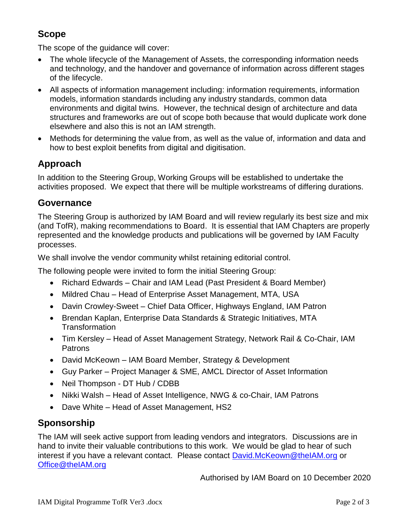## **Scope**

The scope of the guidance will cover:

- The whole lifecycle of the Management of Assets, the corresponding information needs and technology, and the handover and governance of information across different stages of the lifecycle.
- All aspects of information management including: information requirements, information models, information standards including any industry standards, common data environments and digital twins. However, the technical design of architecture and data structures and frameworks are out of scope both because that would duplicate work done elsewhere and also this is not an IAM strength.
- Methods for determining the value from, as well as the value of, information and data and how to best exploit benefits from digital and digitisation.

## **Approach**

In addition to the Steering Group, Working Groups will be established to undertake the activities proposed. We expect that there will be multiple workstreams of differing durations.

#### **Governance**

The Steering Group is authorized by IAM Board and will review regularly its best size and mix (and TofR), making recommendations to Board. It is essential that IAM Chapters are properly represented and the knowledge products and publications will be governed by IAM Faculty processes.

We shall involve the vendor community whilst retaining editorial control.

The following people were invited to form the initial Steering Group:

- Richard Edwards Chair and IAM Lead (Past President & Board Member)
- Mildred Chau Head of Enterprise Asset Management, MTA, USA
- Davin Crowley-Sweet Chief Data Officer, Highways England, IAM Patron
- Brendan Kaplan, Enterprise Data Standards & Strategic Initiatives, MTA **Transformation**
- Tim Kersley Head of Asset Management Strategy, Network Rail & Co-Chair, IAM Patrons
- David McKeown IAM Board Member, Strategy & Development
- Guy Parker Project Manager & SME, AMCL Director of Asset Information
- Neil Thompson DT Hub / CDBB
- Nikki Walsh Head of Asset Intelligence, NWG & co-Chair, IAM Patrons
- Dave White Head of Asset Management, HS2

### **Sponsorship**

The IAM will seek active support from leading vendors and integrators. Discussions are in hand to invite their valuable contributions to this work. We would be glad to hear of such interest if you have a relevant contact. Please contact [David.McKeown@theIAM.org](mailto:David.McKeown@theIAM.org) or [Office@theIAM.org](mailto:Office@theIAM.org)

Authorised by IAM Board on 10 December 2020